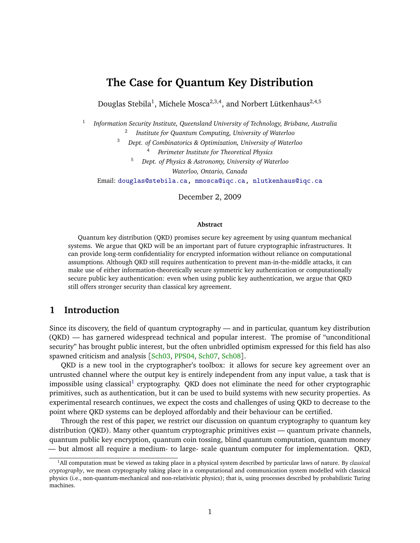# **The Case for Quantum Key Distribution**

Douglas Stebila $^1$ , Michele Mosca $^{2,3,4},$  and Norbert Lütkenhaus $^{2,4,5}$ 

1 *Information Security Institute, Queensland University of Technology, Brisbane, Australia*

2 *Institute for Quantum Computing, University of Waterloo*

<sup>3</sup> *Dept. of Combinatorics & Optimization, University of Waterloo*

<sup>4</sup> *Perimeter Institute for Theoretical Physics*

<sup>5</sup> *Dept. of Physics & Astronomy, University of Waterloo*

*Waterloo, Ontario, Canada*

Email: [douglas@stebila.ca,](mailto:douglas@stebila.ca) [mmosca@iqc.ca,](mailto:mmosca@iqc.ca) [nlutkenhaus@iqc.ca](mailto:nlutkenhaus@iqc.ca)

December 2, 2009

#### **Abstract**

Quantum key distribution (QKD) promises secure key agreement by using quantum mechanical systems. We argue that QKD will be an important part of future cryptographic infrastructures. It can provide long-term confidentiality for encrypted information without reliance on computational assumptions. Although QKD still requires authentication to prevent man-in-the-middle attacks, it can make use of either information-theoretically secure symmetric key authentication or computationally secure public key authentication: even when using public key authentication, we argue that QKD still offers stronger security than classical key agreement.

### **1 Introduction**

Since its discovery, the field of quantum cryptography — and in particular, quantum key distribution (QKD) — has garnered widespread technical and popular interest. The promise of "unconditional security" has brought public interest, but the often unbridled optimism expressed for this field has also spawned criticism and analysis [[Sch03,](#page-11-0) [PPS04,](#page-11-1) [Sch07,](#page-11-2) [Sch08](#page-11-3)].

QKD is a new tool in the cryptographer's toolbox: it allows for secure key agreement over an untrusted channel where the output key is entirely independent from any input value, a task that is impossible using classical $^1$  $^1$  cryptography. QKD does not eliminate the need for other cryptographic primitives, such as authentication, but it can be used to build systems with new security properties. As experimental research continues, we expect the costs and challenges of using QKD to decrease to the point where QKD systems can be deployed affordably and their behaviour can be certified.

Through the rest of this paper, we restrict our discussion on quantum cryptography to quantum key distribution (QKD). Many other quantum cryptographic primitives exist — quantum private channels, quantum public key encryption, quantum coin tossing, blind quantum computation, quantum money — but almost all require a medium- to large- scale quantum computer for implementation. QKD,

<span id="page-0-0"></span><sup>1</sup>All computation must be viewed as taking place in a physical system described by particular laws of nature. By *classical cryptography*, we mean cryptography taking place in a computational and communication system modelled with classical physics (i.e., non-quantum-mechanical and non-relativistic physics); that is, using processes described by probabilistic Turing machines.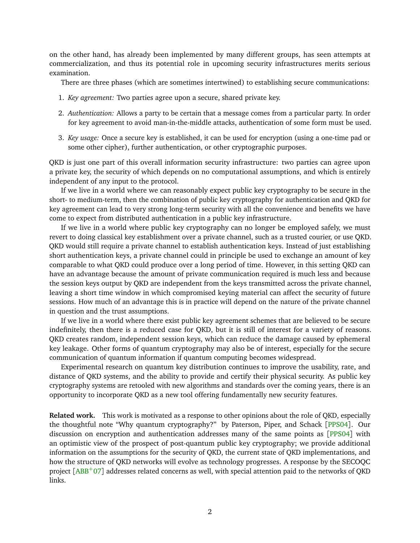on the other hand, has already been implemented by many different groups, has seen attempts at commercialization, and thus its potential role in upcoming security infrastructures merits serious examination.

There are three phases (which are sometimes intertwined) to establishing secure communications:

- 1. *Key agreement:* Two parties agree upon a secure, shared private key.
- 2. *Authentication:* Allows a party to be certain that a message comes from a particular party. In order for key agreement to avoid man-in-the-middle attacks, authentication of some form must be used.
- 3. *Key usage:* Once a secure key is established, it can be used for encryption (using a one-time pad or some other cipher), further authentication, or other cryptographic purposes.

QKD is just one part of this overall information security infrastructure: two parties can agree upon a private key, the security of which depends on no computational assumptions, and which is entirely independent of any input to the protocol.

If we live in a world where we can reasonably expect public key cryptography to be secure in the short- to medium-term, then the combination of public key cryptography for authentication and QKD for key agreement can lead to very strong long-term security with all the convenience and benefits we have come to expect from distributed authentication in a public key infrastructure.

If we live in a world where public key cryptography can no longer be employed safely, we must revert to doing classical key establishment over a private channel, such as a trusted courier, or use QKD. QKD would still require a private channel to establish authentication keys. Instead of just establishing short authentication keys, a private channel could in principle be used to exchange an amount of key comparable to what QKD could produce over a long period of time. However, in this setting QKD can have an advantage because the amount of private communication required is much less and because the session keys output by QKD are independent from the keys transmitted across the private channel, leaving a short time window in which compromised keying material can affect the security of future sessions. How much of an advantage this is in practice will depend on the nature of the private channel in question and the trust assumptions.

If we live in a world where there exist public key agreement schemes that are believed to be secure indefinitely, then there is a reduced case for QKD, but it is still of interest for a variety of reasons. QKD creates random, independent session keys, which can reduce the damage caused by ephemeral key leakage. Other forms of quantum cryptography may also be of interest, especially for the secure communication of quantum information if quantum computing becomes widespread.

Experimental research on quantum key distribution continues to improve the usability, rate, and distance of QKD systems, and the ability to provide and certify their physical security. As public key cryptography systems are retooled with new algorithms and standards over the coming years, there is an opportunity to incorporate QKD as a new tool offering fundamentally new security features.

**Related work.** This work is motivated as a response to other opinions about the role of QKD, especially the thoughtful note "Why quantum cryptography?" by Paterson, Piper, and Schack [[PPS04](#page-11-1)]. Our discussion on encryption and authentication addresses many of the same points as [[PPS04](#page-11-1)] with an optimistic view of the prospect of post-quantum public key cryptography; we provide additional information on the assumptions for the security of QKD, the current state of QKD implementations, and how the structure of QKD networks will evolve as technology progresses. A response by the SECOQC project [[ABB](#page-9-0)<sup>+</sup>07] addresses related concerns as well, with special attention paid to the networks of QKD links.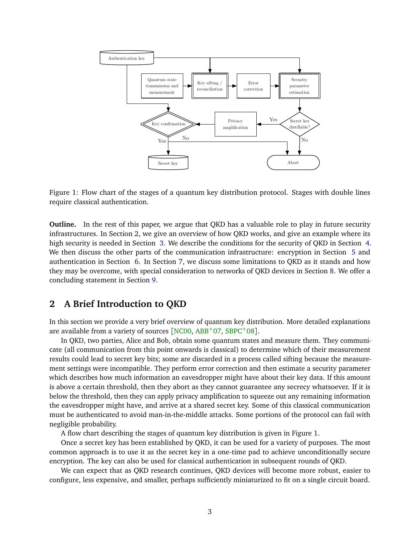

<span id="page-2-1"></span>Figure 1: Flow chart of the stages of a quantum key distribution protocol. Stages with double lines require classical authentication.

**Outline.** In the rest of this paper, we argue that QKD has a valuable role to play in future security infrastructures. In Section [2,](#page-2-0) we give an overview of how QKD works, and give an example where its high security is needed in Section [3.](#page-3-0) We describe the conditions for the security of QKD in Section [4.](#page-4-0) We then discuss the other parts of the communication infrastructure: encryption in Section [5](#page-5-0) and authentication in Section [6.](#page-5-1) In Section [7,](#page-7-0) we discuss some limitations to QKD as it stands and how they may be overcome, with special consideration to networks of QKD devices in Section [8.](#page-8-0) We offer a concluding statement in Section [9.](#page-8-1)

### <span id="page-2-0"></span>**2 A Brief Introduction to QKD**

In this section we provide a very brief overview of quantum key distribution. More detailed explanations are available from a variety of sources  $[NCOO, ABB<sup>+</sup>07, SBPC<sup>+</sup>08]$  $[NCOO, ABB<sup>+</sup>07, SBPC<sup>+</sup>08]$  $[NCOO, ABB<sup>+</sup>07, SBPC<sup>+</sup>08]$  $[NCOO, ABB<sup>+</sup>07, SBPC<sup>+</sup>08]$  $[NCOO, ABB<sup>+</sup>07, SBPC<sup>+</sup>08]$ .

In QKD, two parties, Alice and Bob, obtain some quantum states and measure them. They communicate (all communication from this point onwards is classical) to determine which of their measurement results could lead to secret key bits; some are discarded in a process called sifting because the measurement settings were incompatible. They perform error correction and then estimate a security parameter which describes how much information an eavesdropper might have about their key data. If this amount is above a certain threshold, then they abort as they cannot guarantee any secrecy whatsoever. If it is below the threshold, then they can apply privacy amplification to squeeze out any remaining information the eavesdropper might have, and arrive at a shared secret key. Some of this classical communication must be authenticated to avoid man-in-the-middle attacks. Some portions of the protocol can fail with negligible probability.

A flow chart describing the stages of quantum key distribution is given in Figure [1.](#page-2-1)

Once a secret key has been established by QKD, it can be used for a variety of purposes. The most common approach is to use it as the secret key in a one-time pad to achieve unconditionally secure encryption. The key can also be used for classical authentication in subsequent rounds of QKD.

We can expect that as QKD research continues, QKD devices will become more robust, easier to configure, less expensive, and smaller, perhaps sufficiently miniaturized to fit on a single circuit board.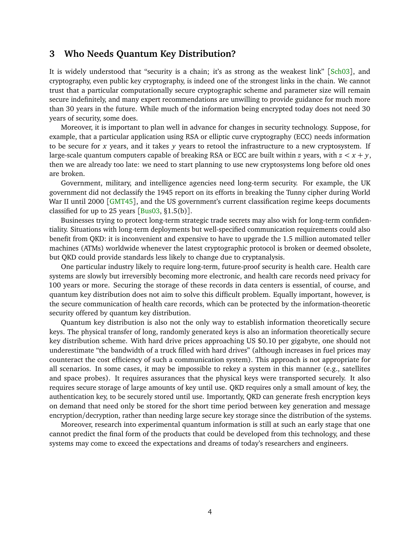## <span id="page-3-0"></span>**3 Who Needs Quantum Key Distribution?**

It is widely understood that "security is a chain; it's as strong as the weakest link" [[Sch03](#page-11-0)], and cryptography, even public key cryptography, is indeed one of the strongest links in the chain. We cannot trust that a particular computationally secure cryptographic scheme and parameter size will remain secure indefinitely, and many expert recommendations are unwilling to provide guidance for much more than 30 years in the future. While much of the information being encrypted today does not need 30 years of security, some does.

Moreover, it is important to plan well in advance for changes in security technology. Suppose, for example, that a particular application using RSA or elliptic curve cryptography (ECC) needs information to be secure for *x* years, and it takes *y* years to retool the infrastructure to a new cryptosystem. If large-scale quantum computers capable of breaking RSA or ECC are built within *z* years, with  $z < x + y$ , then we are already too late: we need to start planning to use new cryptosystems long before old ones are broken.

Government, military, and intelligence agencies need long-term security. For example, the UK government did not declassify the 1945 report on its efforts in breaking the Tunny cipher during World War II until 2000 [[GMT45](#page-10-1)], and the US government's current classification regime keeps documents classified for up to 25 years [[Bus03,](#page-10-2) §1.5(b)].

Businesses trying to protect long-term strategic trade secrets may also wish for long-term confidentiality. Situations with long-term deployments but well-specified communication requirements could also benefit from QKD: it is inconvenient and expensive to have to upgrade the 1.5 million automated teller machines (ATMs) worldwide whenever the latest cryptographic protocol is broken or deemed obsolete, but QKD could provide standards less likely to change due to cryptanalysis.

One particular industry likely to require long-term, future-proof security is health care. Health care systems are slowly but irreversibly becoming more electronic, and health care records need privacy for 100 years or more. Securing the storage of these records in data centers is essential, of course, and quantum key distribution does not aim to solve this difficult problem. Equally important, however, is the secure communication of health care records, which can be protected by the information-theoretic security offered by quantum key distribution.

Quantum key distribution is also not the only way to establish information theoretically secure keys. The physical transfer of long, randomly generated keys is also an information theoretically secure key distribution scheme. With hard drive prices approaching US \$0.10 per gigabyte, one should not underestimate "the bandwidth of a truck filled with hard drives" (although increases in fuel prices may counteract the cost efficiency of such a communication system). This approach is not appropriate for all scenarios. In some cases, it may be impossible to rekey a system in this manner (e.g., satellites and space probes). It requires assurances that the physical keys were transported securely. It also requires secure storage of large amounts of key until use. QKD requires only a small amount of key, the authentication key, to be securely stored until use. Importantly, QKD can generate fresh encryption keys on demand that need only be stored for the short time period between key generation and message encryption/decryption, rather than needing large secure key storage since the distribution of the systems.

Moreover, research into experimental quantum information is still at such an early stage that one cannot predict the final form of the products that could be developed from this technology, and these systems may come to exceed the expectations and dreams of today's researchers and engineers.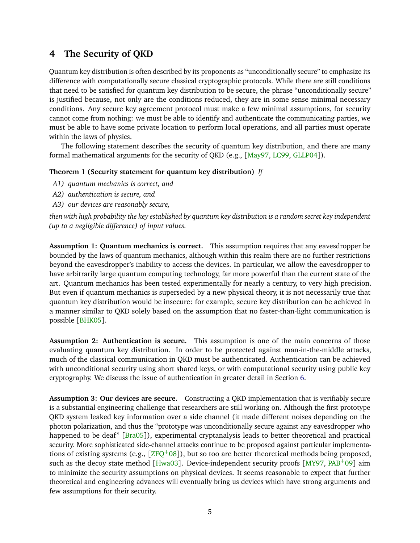# <span id="page-4-0"></span>**4 The Security of QKD**

Quantum key distribution is often described by its proponents as "unconditionally secure" to emphasize its difference with computationally secure classical cryptographic protocols. While there are still conditions that need to be satisfied for quantum key distribution to be secure, the phrase "unconditionally secure" is justified because, not only are the conditions reduced, they are in some sense minimal necessary conditions. Any secure key agreement protocol must make a few minimal assumptions, for security cannot come from nothing: we must be able to identify and authenticate the communicating parties, we must be able to have some private location to perform local operations, and all parties must operate within the laws of physics.

The following statement describes the security of quantum key distribution, and there are many formal mathematical arguments for the security of QKD (e.g., [[May97,](#page-10-3) [LC99,](#page-10-4) [GLLP04](#page-10-5)]).

#### **Theorem 1 (Security statement for quantum key distribution)** *If*

- *A1) quantum mechanics is correct, and*
- *A2) authentication is secure, and*
- *A3) our devices are reasonably secure,*

*then with high probability the key established by quantum key distribution is a random secret key independent (up to a negligible difference) of input values.*

**Assumption 1: Quantum mechanics is correct.** This assumption requires that any eavesdropper be bounded by the laws of quantum mechanics, although within this realm there are no further restrictions beyond the eavesdropper's inability to access the devices. In particular, we allow the eavesdropper to have arbitrarily large quantum computing technology, far more powerful than the current state of the art. Quantum mechanics has been tested experimentally for nearly a century, to very high precision. But even if quantum mechanics is superseded by a new physical theory, it is not necessarily true that quantum key distribution would be insecure: for example, secure key distribution can be achieved in a manner similar to QKD solely based on the assumption that no faster-than-light communication is possible [[BHK05](#page-9-1)].

**Assumption 2: Authentication is secure.** This assumption is one of the main concerns of those evaluating quantum key distribution. In order to be protected against man-in-the-middle attacks, much of the classical communication in QKD must be authenticated. Authentication can be achieved with unconditional security using short shared keys, or with computational security using public key cryptography. We discuss the issue of authentication in greater detail in Section [6.](#page-5-1)

**Assumption 3: Our devices are secure.** Constructing a QKD implementation that is verifiably secure is a substantial engineering challenge that researchers are still working on. Although the first prototype QKD system leaked key information over a side channel (it made different noises depending on the photon polarization, and thus the "prototype was unconditionally secure against any eavesdropper who happened to be deaf" [[Bra05](#page-9-2)]), experimental cryptanalysis leads to better theoretical and practical security. More sophisticated side-channel attacks continue to be proposed against particular implementations of existing systems (e.g.,  $[ZFQ^+08]$  $[ZFQ^+08]$  $[ZFQ^+08]$ ), but so too are better theoretical methods being proposed, such as the decoy state method [[Hwa03](#page-10-6)]. Device-independent security proofs [[MY97,](#page-10-7)  $PAB^{+}09$  $PAB^{+}09$ ] aim to minimize the security assumptions on physical devices. It seems reasonable to expect that further theoretical and engineering advances will eventually bring us devices which have strong arguments and few assumptions for their security.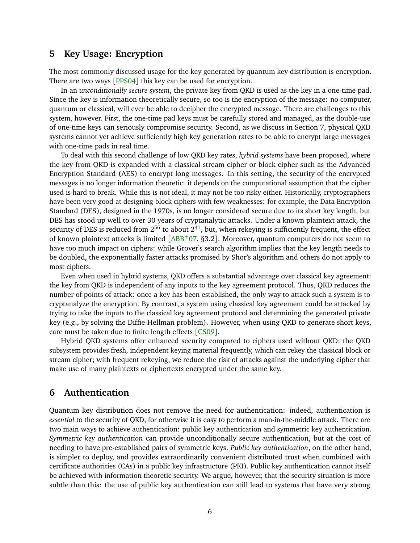## <span id="page-5-0"></span>**5 Key Usage: Encryption**

The most commonly discussed usage for the key generated by quantum key distribution is encryption. There are two ways [[PPS04](#page-11-1)] this key can be used for encryption.

In an *unconditionally secure system*, the private key from QKD is used as the key in a one-time pad. Since the key is information theoretically secure, so too is the encryption of the message: no computer, quantum or classical, will ever be able to decipher the encrypted message. There are challenges to this system, however. First, the one-time pad keys must be carefully stored and managed, as the double-use of one-time keys can seriously compromise security. Second, as we discuss in Section [7,](#page-7-0) physical QKD systems cannot yet achieve sufficiently high key generation rates to be able to encrypt large messages with one-time pads in real time.

To deal with this second challenge of low QKD key rates, *hybrid systems* have been proposed, where the key from QKD is expanded with a classical stream cipher or block cipher such as the Advanced Encryption Standard (AES) to encrypt long messages. In this setting, the security of the encrypted messages is no longer information theoretic: it depends on the computational assumption that the cipher used is hard to break. While this is not ideal, it may not be too risky either. Historically, cryptographers have been very good at designing block ciphers with few weaknesses: for example, the Data Encryption Standard (DES), designed in the 1970s, is no longer considered secure due to its short key length, but DES has stood up well to over 30 years of cryptanalytic attacks. Under a known plaintext attack, the security of DES is reduced from  $2^{56}$  to about  $2^{41},$  but, when rekeying is sufficiently frequent, the effect of known plaintext attacks is limited  $[ABB<sup>+</sup>07, §3.2]$  $[ABB<sup>+</sup>07, §3.2]$  $[ABB<sup>+</sup>07, §3.2]$ . Moreover, quantum computers do not seem to have too much impact on ciphers: while Grover's search algorithm implies that the key length needs to be doubled, the exponentially faster attacks promised by Shor's algorithm and others do not apply to most ciphers.

Even when used in hybrid systems, QKD offers a substantial advantage over classical key agreement: the key from QKD is independent of any inputs to the key agreement protocol. Thus, QKD reduces the number of points of attack: once a key has been established, the only way to attack such a system is to cryptanalyze the encryption. By contrast, a system using classical key agreement could be attacked by trying to take the inputs to the classical key agreement protocol and determining the generated private key (e.g., by solving the Diffie-Hellman problem). However, when using QKD to generate short keys, care must be taken due to finite length effects [[CS09](#page-10-8)].

Hybrid QKD systems offer enhanced security compared to ciphers used without QKD: the QKD subsystem provides fresh, independent keying material frequently, which can rekey the classical block or stream cipher; with frequent rekeying, we reduce the risk of attacks against the underlying cipher that make use of many plaintexts or ciphertexts encrypted under the same key.

## <span id="page-5-1"></span>**6 Authentication**

Quantum key distribution does not remove the need for authentication: indeed, authentication is *essential* to the security of QKD, for otherwise it is easy to perform a man-in-the-middle attack. There are two main ways to achieve authentication: public key authentication and symmetric key authentication. *Symmetric key authentication* can provide unconditionally secure authentication, but at the cost of needing to have pre-established pairs of symmetric keys. *Public key authentication*, on the other hand, is simpler to deploy, and provides extraordinarily convenient distributed trust when combined with certificate authorities (CAs) in a public key infrastructure (PKI). Public key authentication cannot itself be achieved with information theoretic security. We argue, however, that the security situation is more subtle than this: the use of public key authentication can still lead to systems that have very strong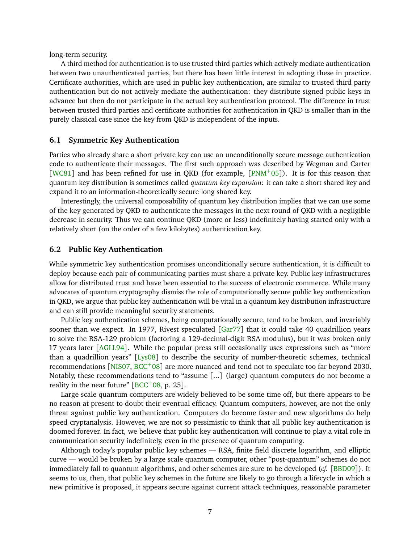long-term security.

A third method for authentication is to use trusted third parties which actively mediate authentication between two unauthenticated parties, but there has been little interest in adopting these in practice. Certificate authorities, which are used in public key authentication, are similar to trusted third party authentication but do not actively mediate the authentication: they distribute signed public keys in advance but then do not participate in the actual key authentication protocol. The difference in trust between trusted third parties and certificate authorities for authentication in QKD is smaller than in the purely classical case since the key from QKD is independent of the inputs.

#### **6.1 Symmetric Key Authentication**

Parties who already share a short private key can use an unconditionally secure message authentication code to authenticate their messages. The first such approach was described by Wegman and Carter [[WC81](#page-11-7)] and has been refined for use in QKD (for example,  $[PMM<sup>+</sup>05]$ ). It is for this reason that quantum key distribution is sometimes called *quantum key expansion*: it can take a short shared key and expand it to an information-theoretically secure long shared key.

Interestingly, the universal composability of quantum key distribution implies that we can use some of the key generated by QKD to authenticate the messages in the next round of QKD with a negligible decrease in security. Thus we can continue QKD (more or less) indefinitely having started only with a relatively short (on the order of a few kilobytes) authentication key.

#### **6.2 Public Key Authentication**

While symmetric key authentication promises unconditionally secure authentication, it is difficult to deploy because each pair of communicating parties must share a private key. Public key infrastructures allow for distributed trust and have been essential to the success of electronic commerce. While many advocates of quantum cryptography dismiss the role of computationally secure public key authentication in QKD, we argue that public key authentication will be vital in a quantum key distribution infrastructure and can still provide meaningful security statements.

Public key authentication schemes, being computationally secure, tend to be broken, and invariably sooner than we expect. In 1977, Rivest speculated [[Gar77](#page-10-9)] that it could take 40 quadrillion years to solve the RSA-129 problem (factoring a 129-decimal-digit RSA modulus), but it was broken only 17 years later [[AGLL94](#page-9-3)]. While the popular press still occasionally uses expressions such as "more than a quadrillion years" [[Lys08](#page-10-10)] to describe the security of number-theoretic schemes, technical recommendations [[NIS07,](#page-10-11)  $BCC^+08$  $BCC^+08$ ] are more nuanced and tend not to speculate too far beyond 2030. Notably, these recommendations tend to "assume [...] (large) quantum computers do not become a reality in the near future"  $[BCC<sup>+</sup>08$  $[BCC<sup>+</sup>08$  $[BCC<sup>+</sup>08$ , p. 25].

Large scale quantum computers are widely believed to be some time off, but there appears to be no reason at present to doubt their eventual efficacy. Quantum computers, however, are not the only threat against public key authentication. Computers do become faster and new algorithms do help speed cryptanalysis. However, we are not so pessimistic to think that all public key authentication is doomed forever. In fact, we believe that public key authentication will continue to play a vital role in communication security indefinitely, even in the presence of quantum computing.

Although today's popular public key schemes — RSA, finite field discrete logarithm, and elliptic curve — would be broken by a large scale quantum computer, other "post-quantum" schemes do not immediately fall to quantum algorithms, and other schemes are sure to be developed (*cf.* [[BBD09](#page-9-5)]). It seems to us, then, that public key schemes in the future are likely to go through a lifecycle in which a new primitive is proposed, it appears secure against current attack techniques, reasonable parameter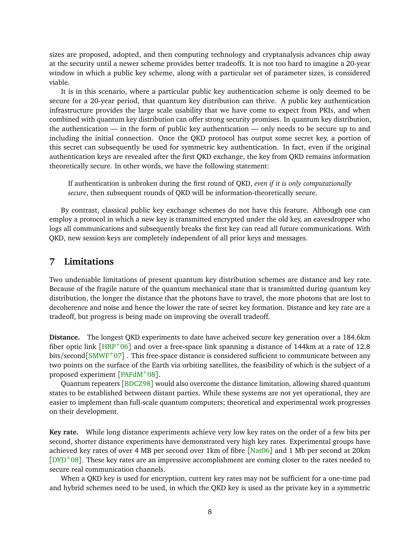sizes are proposed, adopted, and then computing technology and cryptanalysis advances chip away at the security until a newer scheme provides better tradeoffs. It is not too hard to imagine a 20-year window in which a public key scheme, along with a particular set of parameter sizes, is considered viable.

It is in this scenario, where a particular public key authentication scheme is only deemed to be secure for a 20-year period, that quantum key distribution can thrive. A public key authentication infrastructure provides the large scale usability that we have come to expect from PKIs, and when combined with quantum key distribution can offer strong security promises. In quantum key distribution, the authentication — in the form of public key authentication — only needs to be secure up to and including the initial connection. Once the QKD protocol has output some secret key, a portion of this secret can subsequently be used for symmetric key authentication. In fact, even if the original authentication keys are revealed after the first QKD exchange, the key from QKD remains information theoretically secure. In other words, we have the following statement:

If authentication is unbroken during the first round of QKD, *even if it is only computationally secure*, then subsequent rounds of QKD will be information-theoretically secure.

By contrast, classical public key exchange schemes do not have this feature. Although one can employ a protocol in which a new key is transmitted encrypted under the old key, an eavesdropper who logs all communications and subsequently breaks the first key can read all future communications. With QKD, new session keys are completely independent of all prior keys and messages.

## <span id="page-7-0"></span>**7 Limitations**

Two undeniable limitations of present quantum key distribution schemes are distance and key rate. Because of the fragile nature of the quantum mechanical state that is transmitted during quantum key distribution, the longer the distance that the photons have to travel, the more photons that are lost to decoherence and noise and hence the lower the rate of secret key formation. Distance and key rate are a tradeoff, but progress is being made on improving the overall tradeoff.

**Distance.** The longest QKD experiments to date have acheived secure key generation over a 184.6km fiber optic link  $[HRP<sup>+</sup>06]$  $[HRP<sup>+</sup>06]$  $[HRP<sup>+</sup>06]$  and over a free-space link spanning a distance of 144km at a rate of 12.8 bits/second  $\lceil \text{SMWF}^+07 \rceil$  $\lceil \text{SMWF}^+07 \rceil$  $\lceil \text{SMWF}^+07 \rceil$ . This free-space distance is considered sufficient to communicate between any two points on the surface of the Earth via orbiting satellites, the feasibility of which is the subject of a proposed experiment [[PAFdM](#page-11-10)<sup>+</sup>08].

Quantum repeaters [[BDCZ98](#page-9-6)] would also overcome the distance limitation, allowing shared quantum states to be established between distant parties. While these systems are not yet operational, they are easier to implement than full-scale quantum computers; theoretical and experimental work progresses on their development.

**Key rate.** While long distance experiments achieve very low key rates on the order of a few bits per second, shorter distance experiments have demonstrated very high key rates. Experimental groups have achieved key rates of over 4 MB per second over 1km of fibre [[Nat06](#page-10-13)] and 1 Mb per second at 20km  $[DYD<sup>+</sup>08]$  $[DYD<sup>+</sup>08]$  $[DYD<sup>+</sup>08]$ . These key rates are an impressive accomplishment are coming closer to the rates needed to secure real communication channels.

When a QKD key is used for encryption, current key rates may not be sufficient for a one-time pad and hybrid schemes need to be used, in which the QKD key is used as the private key in a symmetric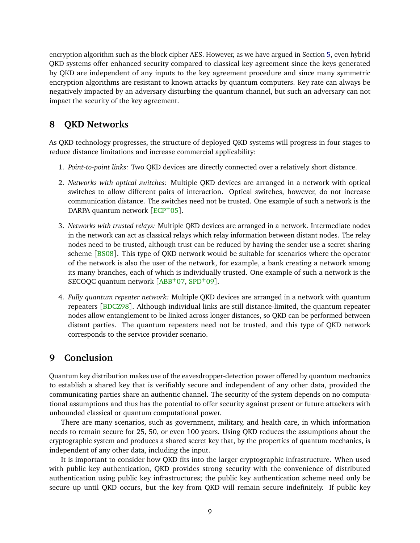encryption algorithm such as the block cipher AES. However, as we have argued in Section [5,](#page-5-0) even hybrid QKD systems offer enhanced security compared to classical key agreement since the keys generated by QKD are independent of any inputs to the key agreement procedure and since many symmetric encryption algorithms are resistant to known attacks by quantum computers. Key rate can always be negatively impacted by an adversary disturbing the quantum channel, but such an adversary can not impact the security of the key agreement.

## <span id="page-8-0"></span>**8 QKD Networks**

As QKD technology progresses, the structure of deployed QKD systems will progress in four stages to reduce distance limitations and increase commercial applicability:

- 1. *Point-to-point links:* Two QKD devices are directly connected over a relatively short distance.
- 2. *Networks with optical switches:* Multiple QKD devices are arranged in a network with optical switches to allow different pairs of interaction. Optical switches, however, do not increase communication distance. The switches need not be trusted. One example of such a network is the DARPA quantum network  $[ECP<sup>+</sup>05]$  $[ECP<sup>+</sup>05]$  $[ECP<sup>+</sup>05]$ .
- 3. *Networks with trusted relays:* Multiple QKD devices are arranged in a network. Intermediate nodes in the network can act as classical relays which relay information between distant nodes. The relay nodes need to be trusted, although trust can be reduced by having the sender use a secret sharing scheme [[BS08](#page-9-7)]. This type of QKD network would be suitable for scenarios where the operator of the network is also the user of the network, for example, a bank creating a network among its many branches, each of which is individually trusted. One example of such a network is the SECOQC quantum network  $[ABB^+07, SPD^+09]$  $[ABB^+07, SPD^+09]$  $[ABB^+07, SPD^+09]$  $[ABB^+07, SPD^+09]$  $[ABB^+07, SPD^+09]$ .
- 4. *Fully quantum repeater network:* Multiple QKD devices are arranged in a network with quantum repeaters [[BDCZ98](#page-9-6)]. Although individual links are still distance-limited, the quantum repeater nodes allow entanglement to be linked across longer distances, so QKD can be performed between distant parties. The quantum repeaters need not be trusted, and this type of QKD network corresponds to the service provider scenario.

## <span id="page-8-1"></span>**9 Conclusion**

Quantum key distribution makes use of the eavesdropper-detection power offered by quantum mechanics to establish a shared key that is verifiably secure and independent of any other data, provided the communicating parties share an authentic channel. The security of the system depends on no computational assumptions and thus has the potential to offer security against present or future attackers with unbounded classical or quantum computational power.

There are many scenarios, such as government, military, and health care, in which information needs to remain secure for 25, 50, or even 100 years. Using QKD reduces the assumptions about the cryptographic system and produces a shared secret key that, by the properties of quantum mechanics, is independent of any other data, including the input.

It is important to consider how QKD fits into the larger cryptographic infrastructure. When used with public key authentication, QKD provides strong security with the convenience of distributed authentication using public key infrastructures; the public key authentication scheme need only be secure up until QKD occurs, but the key from QKD will remain secure indefinitely. If public key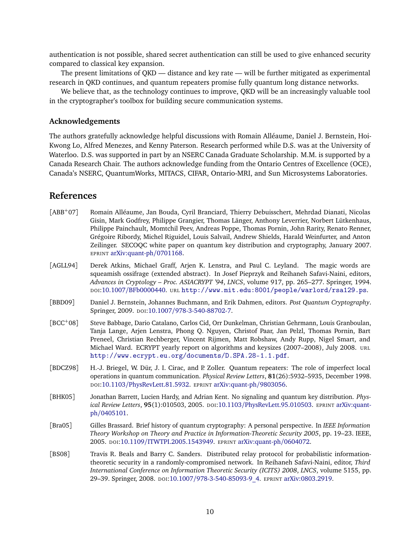authentication is not possible, shared secret authentication can still be used to give enhanced security compared to classical key expansion.

The present limitations of QKD — distance and key rate — will be further mitigated as experimental research in QKD continues, and quantum repeaters promise fully quantum long distance networks.

We believe that, as the technology continues to improve, QKD will be an increasingly valuable tool in the cryptographer's toolbox for building secure communication systems.

#### **Acknowledgements**

The authors gratefully acknowledge helpful discussions with Romain Alléaume, Daniel J. Bernstein, Hoi-Kwong Lo, Alfred Menezes, and Kenny Paterson. Research performed while D.S. was at the University of Waterloo. D.S. was supported in part by an NSERC Canada Graduate Scholarship. M.M. is supported by a Canada Research Chair. The authors acknowledge funding from the Ontario Centres of Excellence (OCE), Canada's NSERC, QuantumWorks, MITACS, CIFAR, Ontario-MRI, and Sun Microsystems Laboratories.

### **References**

- <span id="page-9-0"></span>[ABB<sup>+</sup>07] Romain Alléaume, Jan Bouda, Cyril Branciard, Thierry Debuisschert, Mehrdad Dianati, Nicolas Gisin, Mark Godfrey, Philippe Grangier, Thomas Länger, Anthony Leverrier, Norbert Lütkenhaus, Philippe Painchault, Momtchil Peev, Andreas Poppe, Thomas Pornin, John Rarity, Renato Renner, Grégoire Ribordy, Michel Riguidel, Louis Salvail, Andrew Shields, Harald Weinfurter, and Anton Zeilinger. SECOQC white paper on quantum key distribution and cryptography, January 2007. EPRINT [arXiv:quant-ph](http://www.arxiv.org/abs/quant-ph/0701168)/0701168.
- <span id="page-9-3"></span>[AGLL94] Derek Atkins, Michael Graff, Arjen K. Lenstra, and Paul C. Leyland. The magic words are squeamish ossifrage (extended abstract). In Josef Pieprzyk and Reihaneh Safavi-Naini, editors, *Advances in Cryptology – Proc. ASIACRYPT '94*, *LNCS*, volume 917, pp. 265–277. Springer, 1994. DOI:10.1007/[BFb0000440.](http://dx.doi.org/10.1007/BFb0000440) URL <http://www.mit.edu:8001/people/warlord/rsa129.ps>.
- <span id="page-9-5"></span>[BBD09] Daniel J. Bernstein, Johannes Buchmann, and Erik Dahmen, editors. *Post Quantum Cryptography*. Springer, 2009. DOI:10.1007/[978-3-540-88702-7.](http://dx.doi.org/10.1007/978-3-540-88702-7)
- <span id="page-9-4"></span>[BCC<sup>+</sup>08] Steve Babbage, Dario Catalano, Carlos Cid, Orr Dunkelman, Christian Gehrmann, Louis Granboulan, Tanja Lange, Arjen Lenstra, Phong Q. Nguyen, Christof Paar, Jan Pelzl, Thomas Pornin, Bart Preneel, Christian Rechberger, Vincent Rijmen, Matt Robshaw, Andy Rupp, Nigel Smart, and Michael Ward. ECRYPT yearly report on algorithms and keysizes (2007–2008), July 2008. URL <http://www.ecrypt.eu.org/documents/D.SPA.28-1.1.pdf>.
- <span id="page-9-6"></span>[BDCZ98] H.-J. Briegel, W. Dür, J. I. Cirac, and P. Zoller. Quantum repeaters: The role of imperfect local operations in quantum communication. *Physical Review Letters*, **81**(26):5932–5935, December 1998. DOI:10.1103/[PhysRevLett.81.5932.](http://dx.doi.org/10.1103/PhysRevLett.81.5932) EPRINT [arXiv:quant-ph](http://arxiv.org/abs/quant-ph/9803056)/9803056.
- <span id="page-9-1"></span>[BHK05] Jonathan Barrett, Lucien Hardy, and Adrian Kent. No signaling and quantum key distribution. *Physical Review Letters*, **95**(1):010503, 2005. DOI:10.1103/[PhysRevLett.95.010503.](http://dx.doi.org/10.1103/PhysRevLett.95.010503) EPRINT [arXiv:quant](http://arxiv.org/abs/quant-ph/0405101)ph/[0405101.](http://arxiv.org/abs/quant-ph/0405101)
- <span id="page-9-2"></span>[Bra05] Gilles Brassard. Brief history of quantum cryptography: A personal perspective. In *IEEE Information Theory Workshop on Theory and Practice in Information-Theoretic Security 2005*, pp. 19–23. IEEE, 2005. DOI:10.1109/[ITWTPI.2005.1543949.](http://dx.doi.org/10.1109/ITWTPI.2005.1543949) EPRINT [arXiv:quant-ph](http://arxiv.org/abs/quant-ph/0604072)/0604072.
- <span id="page-9-7"></span>[BS08] Travis R. Beals and Barry C. Sanders. Distributed relay protocol for probabilistic informationtheoretic security in a randomly-compromised network. In Reihaneh Safavi-Naini, editor, *Third International Conference on Information Theoretic Security (ICITS) 2008*, *LNCS*, volume 5155, pp. 29-39. Springer, 2008. DOI:10.1007/978-3-540-85093-9 4. EPRINT [arXiv:0803.2919.](http://arxiv.org/abs/0803.2919)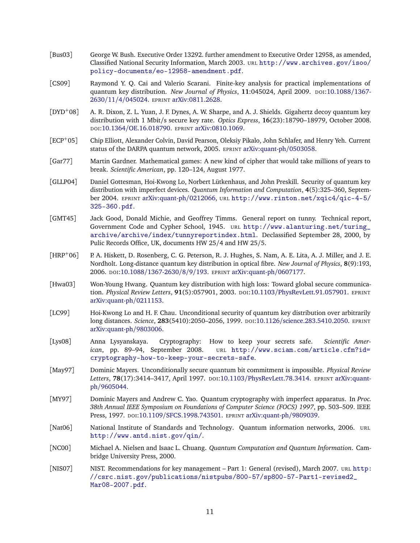- <span id="page-10-2"></span>[Bus03] George W. Bush. Executive Order 13292. further amendment to Executive Order 12958, as amended, Classified National Security Information, March 2003. URL [http://www.archives.gov/isoo/](http://www.archives.gov/isoo/policy-documents/eo-12958-amendment.pdf) [policy-documents/eo-12958-amendment.pdf](http://www.archives.gov/isoo/policy-documents/eo-12958-amendment.pdf).
- <span id="page-10-8"></span>[CS09] Raymond Y. Q. Cai and Valerio Scarani. Finite-key analysis for practical implementations of quantum key distribution. *New Journal of Physics*, **11**:045024, April 2009. DOI[:10.1088](http://dx.doi.org/10.1088/1367-2630/11/4/045024)/1367- 2630/11/4/[045024.](http://dx.doi.org/10.1088/1367-2630/11/4/045024) EPRINT [arXiv:0811.2628.](http://arxiv.org/abs/0811.2628)
- <span id="page-10-14"></span>[DYD<sup>+</sup>08] A. R. Dixon, Z. L. Yuan, J. F. Dynes, A. W. Sharpe, and A. J. Shields. Gigahertz decoy quantum key distribution with 1 Mbit/s secure key rate. *Optics Express*, **16**(23):18790–18979, October 2008. DOI:10.1364/[OE.16.018790.](http://dx.doi.org/10.1364/OE.16.018790) EPRINT [arXiv:0810.1069.](http://arxiv.org/abs/0810.1069)
- <span id="page-10-15"></span>[ECP<sup>+</sup>05] Chip Elliott, Alexander Colvin, David Pearson, Oleksiy Pikalo, John Schlafer, and Henry Yeh. Current status of the DARPA quantum network, 2005. EPRINT [arXiv:quant-ph](http://arxiv.org/abs/quant-ph/0503058)/0503058.
- <span id="page-10-9"></span>[Gar77] Martin Gardner. Mathematical games: A new kind of cipher that would take millions of years to break. *Scientific American*, pp. 120–124, August 1977.
- <span id="page-10-5"></span>[GLLP04] Daniel Gottesman, Hoi-Kwong Lo, Norbert Lütkenhaus, and John Preskill. Security of quantum key distribution with imperfect devices. *Quantum Information and Computation*, **4**(5):325–360, September 2004. EPRINT [arXiv:quant-ph](http://arxiv.org/abs/quant-ph/0212066)/0212066, URL [http://www.rinton.net/xqic4/qic-4-5/](http://www.rinton.net/xqic4/qic-4-5/325-360.pdf) [325-360.pdf](http://www.rinton.net/xqic4/qic-4-5/325-360.pdf).
- <span id="page-10-1"></span>[GMT45] Jack Good, Donald Michie, and Geoffrey Timms. General report on tunny. Technical report, Government Code and Cypher School, 1945. URL [http://www.alanturing.net/turing\\_](http://www.alanturing.net/turing_archive/archive/index/tunnyreportindex.html) [archive/archive/index/tunnyreportindex.html](http://www.alanturing.net/turing_archive/archive/index/tunnyreportindex.html). Declassified September 28, 2000, by Pulic Records Office, UK, documents HW 25/4 and HW 25/5.
- <span id="page-10-12"></span>[HRP<sup>+</sup>06] P. A. Hiskett, D. Rosenberg, C. G. Peterson, R. J. Hughes, S. Nam, A. E. Lita, A. J. Miller, and J. E. Nordholt. Long-distance quantum key distribution in optical fibre. *New Journal of Physics*, **8**(9):193, 2006. DOI:10.1088/[1367-2630](http://dx.doi.org/10.1088/1367-2630/8/9/193)/8/9/193. EPRINT [arXiv:quant-ph](http://arxiv.org/abs/quant-ph/0607177)/0607177.
- <span id="page-10-6"></span>[Hwa03] Won-Young Hwang. Quantum key distribution with high loss: Toward global secure communication. *Physical Review Letters*, **91**(5):057901, 2003. DOI:10.1103/[PhysRevLett.91.057901.](http://dx.doi.org/10.1103/PhysRevLett.91.057901) EPRINT [arXiv:quant-ph](http://arxiv.org/abs/quant-ph/0211153)/0211153.
- <span id="page-10-4"></span>[LC99] Hoi-Kwong Lo and H. F. Chau. Unconditional security of quantum key distribution over arbitrarily long distances. *Science*, **283**(5410):2050–2056, 1999. DOI:10.1126/[science.283.5410.2050.](http://dx.doi.org/10.1126/science.283.5410.2050) EPRINT [arXiv:quant-ph](http://arxiv.org/abs/quant-ph/9803006)/9803006.
- <span id="page-10-10"></span>[Lys08] Anna Lysyanskaya. Cryptography: How to keep your secrets safe. *Scientific Amer*URL [http://www.sciam.com/article.cfm?id=](http://www.sciam.com/article.cfm?id=cryptography-how-to-keep-your-secrets-safe) [cryptography-how-to-keep-your-secrets-safe](http://www.sciam.com/article.cfm?id=cryptography-how-to-keep-your-secrets-safe).
- <span id="page-10-3"></span>[May97] Dominic Mayers. Unconditionally secure quantum bit commitment is impossible. *Physical Review Letters*, **78**(17):3414–3417, April 1997. DOI:10.1103/[PhysRevLett.78.3414.](http://dx.doi.org/10.1103/PhysRevLett.78.3414) EPRINT [arXiv:quant](http://arxiv.org/abs/quant-ph/9605044)ph/[9605044.](http://arxiv.org/abs/quant-ph/9605044)
- <span id="page-10-7"></span>[MY97] Dominic Mayers and Andrew C. Yao. Quantum cryptography with imperfect apparatus. In *Proc. 38th Annual IEEE Symposium on Foundations of Computer Science (FOCS) 1997*, pp. 503–509. IEEE Press, 1997. DOI:10.1109/[SFCS.1998.743501.](http://dx.doi.org/10.1109/SFCS.1998.743501) EPRINT [arXiv:quant-ph](http://arxiv.org/abs/quant-ph/9809039)/9809039.
- <span id="page-10-13"></span>[Nat06] National Institute of Standards and Technology. Quantum information networks, 2006. URL <http://www.antd.nist.gov/qin/>.
- <span id="page-10-0"></span>[NC00] Michael A. Nielsen and Isaac L. Chuang. *Quantum Computation and Quantum Information*. Cambridge University Press, 2000.
- <span id="page-10-11"></span>[NIS07] NIST. Recommendations for key management – Part 1: General (revised), March 2007. URL [http:](http://csrc.nist.gov/publications/nistpubs/800-57/sp800-57-Part1-revised2_Mar08-2007.pdf) [//csrc.nist.gov/publications/nistpubs/800-57/sp800-57-Part1-revised2\\_](http://csrc.nist.gov/publications/nistpubs/800-57/sp800-57-Part1-revised2_Mar08-2007.pdf) [Mar08-2007.pdf](http://csrc.nist.gov/publications/nistpubs/800-57/sp800-57-Part1-revised2_Mar08-2007.pdf).